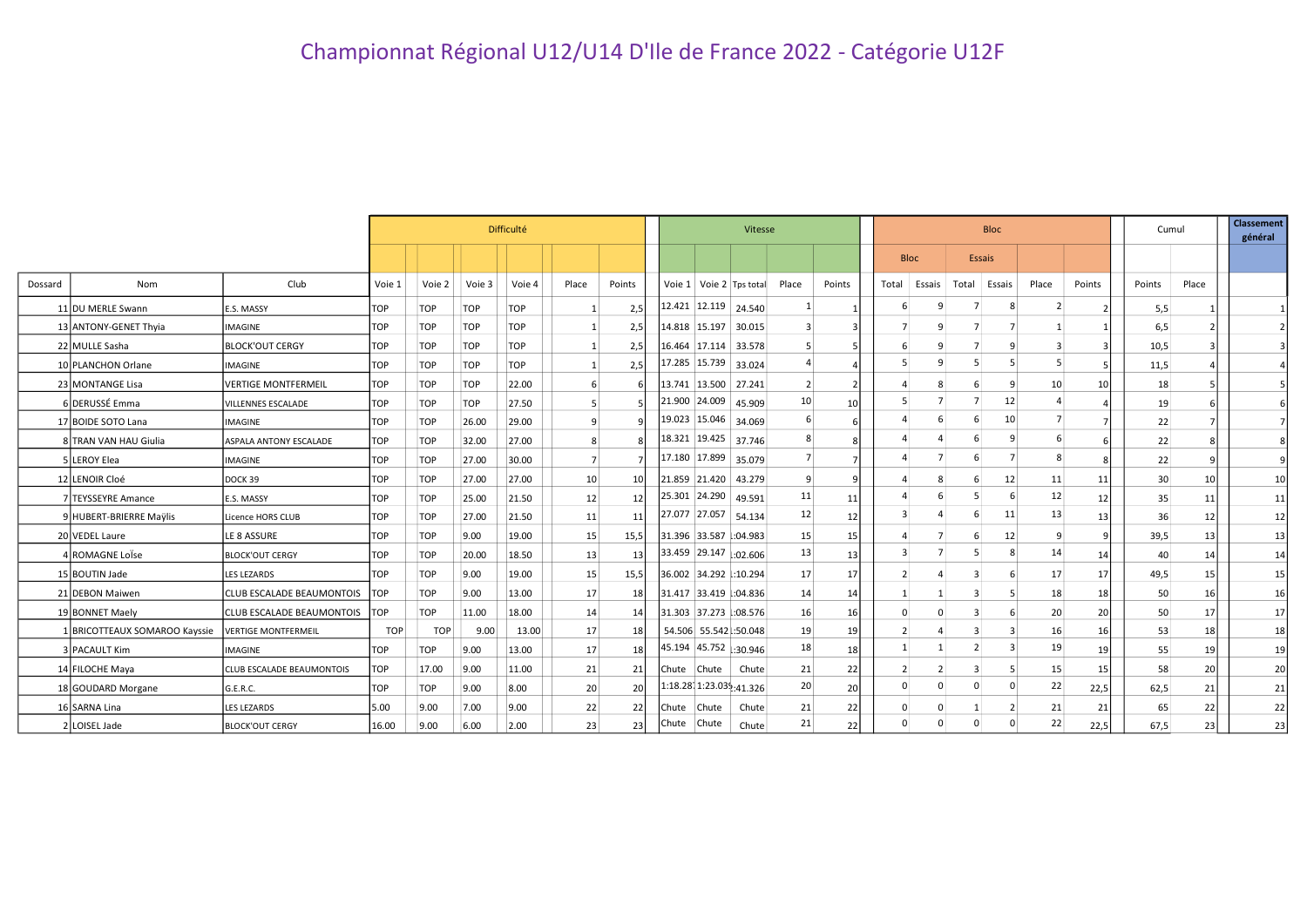|         |                               |                                  |            |            |            | Difficulté |                |                 | Vitesse                                      |        |                         |                 |       |             | <b>Bloc</b>    | Cumul                | <b>Classement</b><br>général |        |       |    |
|---------|-------------------------------|----------------------------------|------------|------------|------------|------------|----------------|-----------------|----------------------------------------------|--------|-------------------------|-----------------|-------|-------------|----------------|----------------------|------------------------------|--------|-------|----|
|         |                               |                                  |            |            |            |            |                |                 |                                              |        |                         |                 |       | <b>Bloc</b> | <b>Essais</b>  |                      |                              |        |       |    |
| Dossard | Nom                           | Club                             | Voie 1     | Voie 2     | Voie 3     | Voie 4     | Place          | Points          | Voie 1   Voie 2   Tps total                  |        | Place                   | Points          | Total | Essais      | Total Essais   | Place                | Points                       | Points | Place |    |
|         | 11 DU MERLE Swann             | E.S. MASSY                       | <b>TOP</b> | <b>TOP</b> | <b>TOP</b> | <b>TOP</b> |                | 2,5             | 12.421 12.119 24.540                         |        | 1                       |                 |       | 9           |                | 8                    |                              | 5,5    |       |    |
|         | 13 ANTONY-GENET Thyia         | <b>IMAGINE</b>                   | TOP        | <b>TOP</b> | <b>TOP</b> | <b>TOP</b> | -1             | 2,5             | 14.818 15.197 30.015                         |        | $\overline{\mathbf{3}}$ |                 |       | q           | 7              | 7                    |                              | 6,5    |       |    |
|         | 22 MULLE Sasha                | <b>BLOCK'OUT CERGY</b>           | TOP        | <b>TOP</b> | <b>TOP</b> | <b>TOP</b> | $\mathbf{1}$   | 2,5             | $16.464$ 17.114 33.578                       |        | 5                       |                 |       | 9           | $\overline{7}$ | 9<br>3               |                              | 10,5   |       |    |
|         | 10 PLANCHON Orlane            | <b>IMAGINE</b>                   | <b>TOP</b> | <b>TOP</b> | <b>TOP</b> | <b>TOP</b> | 1              | 2,5             | $\vert$ 17.285 $\vert$ 15.739 $\vert$ 33.024 |        | $\overline{a}$          |                 |       | q           | 5              |                      |                              | 11,5   |       |    |
|         | 23 MONTANGE Lisa              | <b>VERTIGE MONTFERMEIL</b>       | <b>TOP</b> | <b>TOP</b> | <b>TOP</b> | 22.00      | 6              |                 | 13.741 13.500 27.241                         |        | $\overline{2}$          |                 |       | 8           | 6              | 9<br>10 <sup>1</sup> | 10                           | 18     |       |    |
|         | 6 DERUSSÉ Emma                | <b>VILLENNES ESCALADE</b>        | TOP        | <b>TOP</b> | <b>TOP</b> | 27.50      | 5              |                 | 21.900 24.009 45.909                         |        | 10 <sup>1</sup>         | 10              |       |             | $\overline{7}$ | 12                   |                              | 19     |       |    |
|         | 17 BOIDE SOTO Lana            | <b>IMAGINE</b>                   | TOP        | <b>TOP</b> | 26.00      | 29.00      | 9              |                 | 19.023 15.046 34.069                         |        | 6                       |                 |       |             | 6              | 10 <sup>1</sup>      |                              | 22     |       |    |
|         | 8 TRAN VAN HAU Giulia         | ASPALA ANTONY ESCALADE           | <b>TOP</b> | <b>TOP</b> | 32.00      | 27.00      | 8              |                 | 18.321 19.425 37.746                         |        | 8                       |                 |       |             | 6              | 9                    |                              | 22     |       |    |
|         | LEROY Elea                    | <b>IMAGINE</b>                   | TOP        | <b>TOP</b> | 27.00      | 30.00      | $\overline{7}$ |                 | 17.180 17.899 35.079                         |        |                         |                 |       |             | 6              |                      |                              | 22     |       |    |
|         | 12 LENOIR Cloé                | DOCK 39                          | TOP        | <b>TOP</b> | 27.00      | 27.00      | 10             | <b>10</b>       | 21.859 21.420 43.279                         |        | 9                       |                 |       | 8           | 6              | 12<br>11             | 11                           | 30     | 10    | 10 |
|         | 7 TEYSSEYRE Amance            | E.S. MASSY                       | <b>TOP</b> | <b>TOP</b> | 25.00      | 21.50      | 12             | 12 <sup>1</sup> | 25.301 24.290                                | 49.591 | 11                      | 11              |       |             | 5              | 12<br>6              | 12                           | 35     | 11    | 11 |
|         | HUBERT-BRIERRE Maylis         | Licence HORS CLUB                | TOP        | <b>TOP</b> | 27.00      | 21.50      | 11             | 11              | 27.077 27.057 54.134                         |        | 12                      | 12 <sub>1</sub> |       |             | 6              | 11<br>13             | 13                           | 36     | 12    | 12 |
|         | 20 VEDEL Laure                | LE 8 ASSURE                      | <b>TOP</b> | <b>TOP</b> | 9.00       | 19.00      | 15             | 15,5            | 31.396 33.587 :04.983                        |        | 15                      | 15              |       |             | 6              | 12<br>9              |                              | 39,5   | 13    | 13 |
|         | <b>ROMAGNE LOISE</b>          | <b>BLOCK'OUT CERGY</b>           | <b>TOP</b> | <b>TOP</b> | 20.00      | 18.50      | 13             | 13              | 33.459 29.147 :02.606                        |        | 13                      | 13 <sup>1</sup> |       |             | 5              | 14<br>8              | 14                           | 40     | 14    | 14 |
|         | 15 BOUTIN Jade                | <b>LES LEZARDS</b>               | TOP        | <b>TOP</b> | 9.00       | 19.00      | 15             | 15,5            | 36.002 34.292 :10.294                        |        | 17                      | 17              |       |             | 3              | 17<br>6              | 17                           | 49,5   | 15    | 15 |
|         | 21 DEBON Maiwen               | <b>CLUB ESCALADE BEAUMONTOIS</b> | <b>TOP</b> | <b>TOP</b> | 9.00       | 13.00      | 17             | 18              | 31.417 33.419 :04.836                        |        | 14                      | 14              |       |             | 3              | 18<br>5              | 18                           | 50     | 16    | 16 |
|         | 19 BONNET Maely               | <b>CLUB ESCALADE BEAUMONTOIS</b> | <b>TOP</b> | <b>TOP</b> | 11.00      | 18.00      | 14             | 14              | 31.303 37.273 :08.576                        |        | 16                      | 16              |       | $\Omega$    | 3              | 20<br>6              | 20                           | 50     | 17    | 17 |
|         | 1 BRICOTTEAUX SOMAROO Kayssie | VERTIGE MONTFERMEIL              | <b>TOP</b> | <b>TOP</b> | 9.00       | 13.00      | 17             | 18              | 54.506 55.542 :50.048                        |        | 19                      | 19 l            | 2     |             | 3              | 16<br>3              | 16                           | 53     | 18    | 18 |
|         | 3 PACAULT Kim                 | <b>IMAGINE</b>                   | TOP        | <b>TOP</b> | 9.00       | 13.00      | 17             | 18              | 45.194 45.752 :30.946                        |        | 18                      | 18              |       |             | $\overline{2}$ | 19<br>3              | 19                           | 55     | 19    | 19 |
|         | 14 FILOCHE Maya               | CLUB ESCALADE BEAUMONTOIS        | TOP        | 17.00      | 9.00       | 11.00      | 21             | 21              | Chute Chute                                  | Chute  | 21                      | 22              | 2     |             | 3              | 15 <sup>1</sup><br>5 | 15                           | 58     | 20    | 20 |
|         | 18 GOUDARD Morgane            | G.E.R.C.                         | TOP        | <b>TOP</b> | 9.00       | 8.00       | 20             | <b>20</b>       | 1:18.28 1:23.039:41.326                      |        | 20                      | 20              |       | $\Omega$    | 0              | 22<br>$\Omega$       | 22,5                         | 62,5   | 21    | 21 |
|         | 16 SARNA Lina                 | <b>LES LEZARDS</b>               | 5.00       | 9.00       | 7.00       | 9.00       | 22             | 22              | Chute Chute                                  | Chute  | 21                      | 22              |       | $\Omega$    | 1              | 21<br>2              | 21                           | 65     | 22    | 22 |
|         | LOISEL Jade                   | <b>BLOCK'OUT CERGY</b>           | 16.00      | 9.00       | 6.00       | 2.00       | 23             | 23              | Chute Chute                                  | Chute  | 21                      | 22              |       | $\Omega$    | $\Omega$       | 22<br>$\Omega$       | 22,5                         | 67,5   | 23 l  | 23 |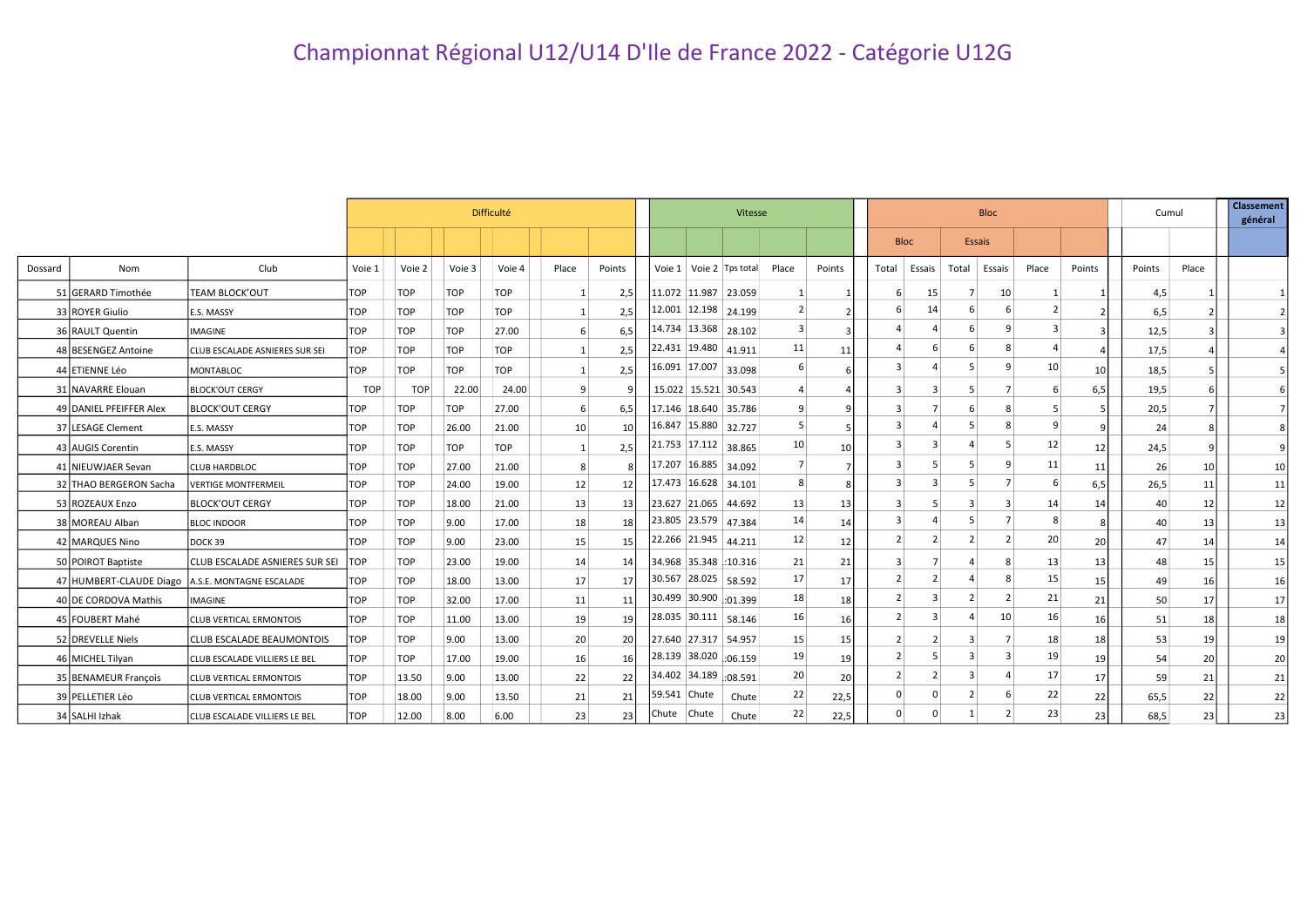|         |                         |                                                  |            |            |            | Vitesse    |                 |                 |                       |                      | <b>Bloc</b>             |                 |        |                |          |        | Cumul           | <b>Classement</b><br>général |        |        |       |    |
|---------|-------------------------|--------------------------------------------------|------------|------------|------------|------------|-----------------|-----------------|-----------------------|----------------------|-------------------------|-----------------|--------|----------------|----------|--------|-----------------|------------------------------|--------|--------|-------|----|
|         |                         |                                                  |            |            |            |            |                 |                 |                       |                      |                         |                 |        | <b>Bloc</b>    |          | Essais |                 |                              |        |        |       |    |
| Dossard | Nom                     | Club                                             | Voie 1     | Voie 2     | Voie 3     | Voie 4     | Place           | Points          |                       |                      | Voie 1 Voie 2 Tps total | Place           | Points | Total          | Essais   | Total  | Essais          | Place                        | Points | Points | Place |    |
|         | 51 GERARD Timothée      | TEAM BLOCK'OUT                                   | <b>TOP</b> | <b>TOP</b> | <b>TOP</b> | <b>TOP</b> | <sup>1</sup>    | 2,5             |                       | 11.072 11.987 23.059 |                         |                 |        | 6              | 15       |        | 10              |                              |        | 4,5    |       |    |
|         | 33 ROYER Giulio         | <b>E.S. MASSY</b>                                | <b>TOP</b> | <b>TOP</b> | <b>TOP</b> | <b>TOP</b> | 1               | 2,5             |                       | 12.001 12.198 24.199 |                         | 2               |        | 6              | 14       |        |                 |                              |        | 6,5    |       |    |
|         | 36 RAULT Quentin        | IMAGINE                                          | <b>TOP</b> | <b>TOP</b> | <b>TOP</b> | 27.00      | 6               | 6,5             |                       | 14.734 13.368 28.102 |                         | 3               |        | $\overline{a}$ |          |        |                 |                              |        | 12,5   |       |    |
|         | 48 BESENGEZ Antoine     | CLUB ESCALADE ASNIERES SUR SEI                   | TOP        | <b>TOP</b> | <b>TOP</b> | <b>TOP</b> | $\mathbf{1}$    | 2,5             | 22.431 19.480 41.911  |                      |                         | 11              | 11     | $\overline{a}$ | 6        | 6      |                 |                              |        | 17,5   |       |    |
|         | 44 ETIENNE Léo          | <b>MONTABLOC</b>                                 | <b>TOP</b> | <b>TOP</b> | <b>TOP</b> | <b>TOP</b> | 1               | 2,5             |                       | 16.091 17.007 33.098 |                         | 6               |        | 3              |          | 5      | q               | 10                           | 10     | 18,5   |       |    |
|         | 31 NAVARRE Elouan       | <b>BLOCK'OUT CERGY</b>                           | <b>TOP</b> | <b>TOP</b> | 22.00      | 24.00      | 9               |                 |                       | 15.022 15.521 30.543 |                         |                 |        | 3              | 3        | 5      |                 |                              | 6,5    | 19,5   |       |    |
|         | 49 DANIEL PFEIFFER Alex | <b>BLOCK'OUT CERGY</b>                           | <b>TOP</b> | <b>TOP</b> | <b>TOP</b> | 27.00      | 6               | 6,5             | 17.146 18.640 35.786  |                      |                         | 9               | q      | 3              |          | 6      |                 |                              |        | 20,5   |       |    |
|         | 37 LESAGE Clement       | E.S. MASSY                                       | <b>TOP</b> | <b>TOP</b> | 26.00      | 21.00      | 10 <sup>1</sup> | 10 <sup>1</sup> |                       | 16.847 15.880 32.727 |                         | 5               |        | 3              |          |        |                 |                              | 9      | 24     |       |    |
|         | 43 AUGIS Corentin       | E.S. MASSY                                       | <b>TOP</b> | <b>TOP</b> | <b>TOP</b> | <b>TOP</b> | 1               | 2,5             | 21.753 17.112 38.865  |                      |                         | 10 <sup>1</sup> | 10     | 3              | 3        |        |                 | 12                           | 12     | 24,5   |       |    |
|         | 41 NIEUWJAER Sevan      | <b>CLUB HARDBLOC</b>                             | <b>TOP</b> | <b>TOP</b> | 27.00      | 21.00      | 8               |                 | 17.207 16.885 34.092  |                      |                         |                 |        | 3              |          |        |                 | 11                           | 11     | 26     | 10    | 10 |
|         | 32 THAO BERGERON Sacha  | <b>VERTIGE MONTFERMEIL</b>                       | <b>TOP</b> | <b>TOP</b> | 24.00      | 19.00      | 12              | 12              | 17.473 16.628 34.101  |                      |                         | 8               |        | $\overline{3}$ |          |        |                 |                              | 6,5    | 26,5   | 11    | 11 |
|         | 53 ROZEAUX Enzo         | <b>BLOCK'OUT CERGY</b>                           | <b>TOP</b> | <b>TOP</b> | 18.00      | 21.00      | 13              | 13              | 23.627 21.065 44.692  |                      |                         | 13              | 13     | 3              | .5       | 3      |                 | 14                           | 14     | 40     | 12    | 12 |
|         | 38 MOREAU Alban         | <b>BLOC INDOOR</b>                               | <b>TOP</b> | <b>TOP</b> | 9.00       | 17.00      | 18              | 18              | 23.805 23.579 47.384  |                      |                         | 14              | 14     | 3              |          |        |                 |                              |        | 40     | 13    | 13 |
|         | 42 MARQUES Nino         | DOCK 39                                          | <b>TOP</b> | <b>TOP</b> | 9.00       | 23.00      | 15              | 15              | 22.266 21.945 44.211  |                      |                         | 12              | 12     | $\overline{2}$ |          |        |                 | 20                           | 20     | 47     | -14   | 14 |
|         | 50 POIROT Baptiste      | CLUB ESCALADE ASNIERES SUR SEI                   | <b>TOP</b> | <b>TOP</b> | 23.00      | 19.00      | 14              | 14              | 34.968 35.348 :10.316 |                      |                         | 21              | 21     | -3             |          |        |                 | 13                           | 13     | 48     | 15    | 15 |
|         |                         | 47 HUMBERT-CLAUDE Diago A.S.E. MONTAGNE ESCALADE | <b>TOP</b> | <b>TOP</b> | 18.00      | 13.00      | 17              | 17              | 30.567 28.025 58.592  |                      |                         | 17              | 17     | $\overline{2}$ |          |        |                 | 15                           | 15     | 49     | 16    | 16 |
|         | 40 DE CORDOVA Mathis    | <b>IMAGINE</b>                                   | <b>TOP</b> | <b>TOP</b> | 32.00      | 17.00      | 11              | 11              | 30.499 30.900 :01.399 |                      |                         | 18              | 18     | $\overline{2}$ |          |        |                 | 21                           | 21     | 50     | 17    | 17 |
|         | 45 FOUBERT Mahé         | <b>CLUB VERTICAL ERMONTOIS</b>                   | <b>TOP</b> | <b>TOP</b> | 11.00      | 13.00      | 19              | 19              |                       | 28.035 30.111 58.146 |                         | 16              | 16     | $\overline{2}$ |          |        | 10 <sup>1</sup> | 16                           | 16     | 51     | 18    | 18 |
|         | 52 DREVELLE Niels       | <b>CLUB ESCALADE BEAUMONTOIS</b>                 | <b>TOP</b> | <b>TOP</b> | 9.00       | 13.00      | 20              | 20              |                       | 27.640 27.317 54.957 |                         | 15              | 15     | $\overline{2}$ |          |        |                 | 18                           | 18     | 53     | 19    | 19 |
|         | 46 MICHEL Tilyan        | CLUB ESCALADE VILLIERS LE BEL                    | <b>TOP</b> | <b>TOP</b> | 17.00      | 19.00      | 16              | 16              | 28.139 38.020 :06.159 |                      |                         | 19              | 19     | $\overline{2}$ |          | 3      |                 | 19                           | 19     | 54     | 20    | 20 |
|         | 35 BENAMEUR François    | <b>CLUB VERTICAL ERMONTOIS</b>                   | <b>TOP</b> | 13.50      | 9.00       | 13.00      | 22              | 22              | 34.402 34.189 :08.591 |                      |                         | 20              | 20     | $\overline{2}$ |          | 3      |                 | 17                           | 17     | 59     | 21    | 21 |
|         | 39 PELLETIER Léo        | <b>CLUB VERTICAL ERMONTOIS</b>                   | <b>TOP</b> | 18.00      | 9.00       | 13.50      | 21              | 21              | 59.541 Chute          |                      | Chute                   | 22              | 22,5   | $\mathbf 0$    |          | 2      |                 | 22                           | 22     | 65,5   | 22    | 22 |
|         | 34 SALHI Izhak          | CLUB ESCALADE VILLIERS LE BEL                    | TOP        | 12.00      | 8.00       | 6.00       | 23              | 23              | Chute Chute           |                      | Chute                   | 22              | 22,5   | $\Omega$       | $\Omega$ |        |                 | 23                           | 23     | 68,5   | 23    | 23 |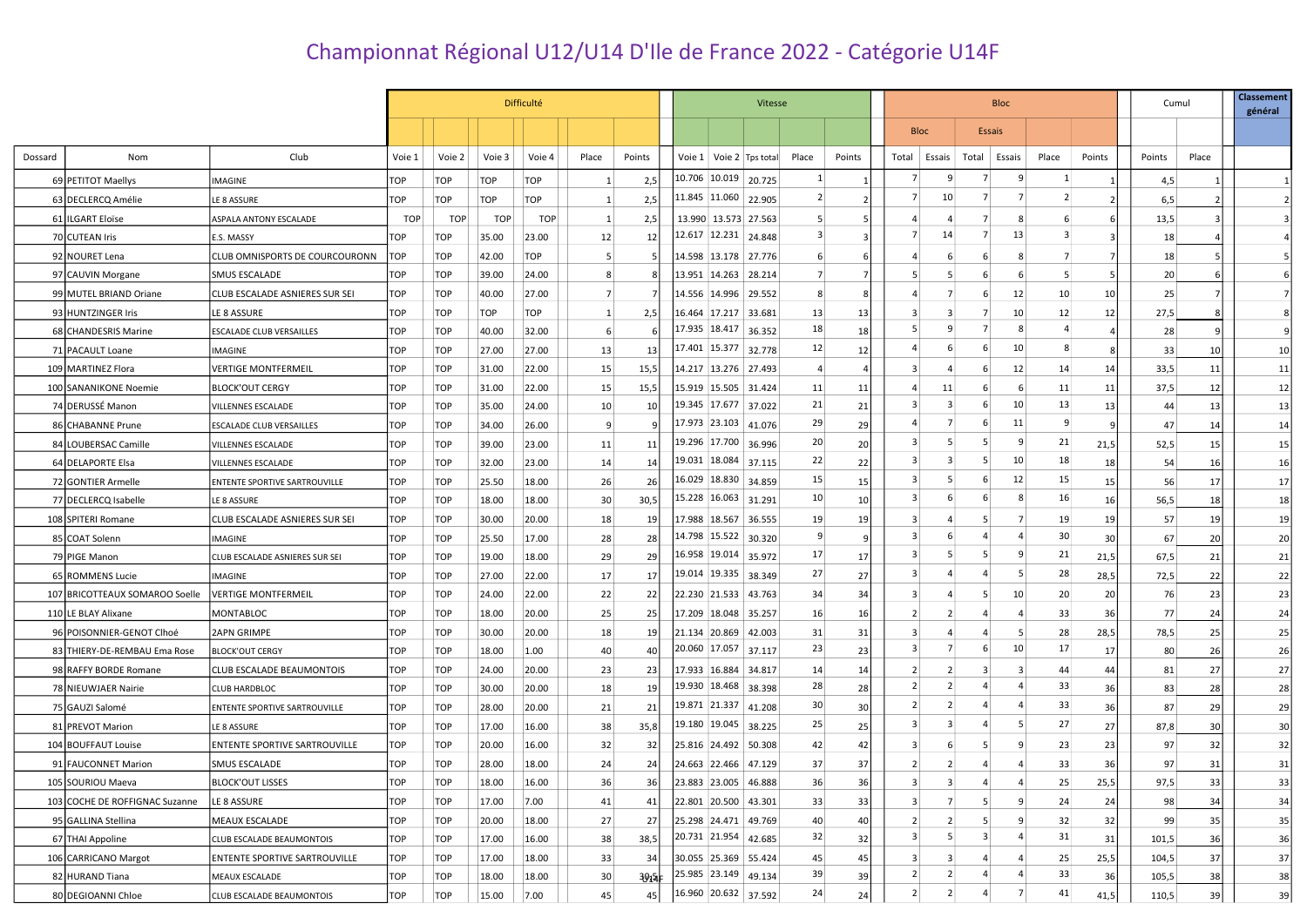## Championnat Régional U12/U14 D'Ile de France 2022 - Catégorie U14F

|         |                                |                                       |            |            |            | <b>Difficulté</b> |                |           |                                                      | Vitesse              |                                                      |                 |        |                         | <b>Bloc</b>    |                         |                |                |                 |        | Cumul     | <b>Classement</b><br>général |
|---------|--------------------------------|---------------------------------------|------------|------------|------------|-------------------|----------------|-----------|------------------------------------------------------|----------------------|------------------------------------------------------|-----------------|--------|-------------------------|----------------|-------------------------|----------------|----------------|-----------------|--------|-----------|------------------------------|
|         |                                |                                       |            |            |            |                   |                |           |                                                      |                      |                                                      |                 |        |                         | <b>Bloc</b>    | <b>Essais</b>           |                |                |                 |        |           |                              |
| Dossard | Nom                            | Club                                  | Voie 1     | Voie 2     | Voie 3     | Voie 4            | Place          | Points    |                                                      |                      | Voie 1   Voie 2   Tps total                          | Place           | Points | Total                   | Essais         | Total Essais            |                | Place          | Points          | Points | Place     |                              |
|         | 69 PETITOT Maellys             | IMAGINE                               | TOP        | TOP        | <b>TOP</b> | TOP               | -1             | 2,5       |                                                      |                      | 10.706 10.019 20.725                                 | 1               |        | 7                       | 9              | 7                       | 9              |                |                 | 4,5    |           |                              |
|         | 63 DECLERCQ Amélie             | LE 8 ASSURE                           | TOP        | TOP        | TOP        | TOP               | -1             | 2,5       | $\left  \frac{11.845}{11.060} \right $ 22.905        |                      |                                                      | $\overline{2}$  |        | 7                       | 10             | 7                       | 7              | $\overline{2}$ |                 | 6,5    |           |                              |
|         | 61 ILGART Eloïse               | ASPALA ANTONY ESCALADE                | <b>TOP</b> | <b>TOP</b> | <b>TOP</b> | <b>TOP</b>        | -1             | 2,5       |                                                      |                      | 13.990 13.573 27.563                                 | 5               |        | 4                       |                |                         | 8              |                |                 | 13,5   |           |                              |
|         | 70 CUTEAN Iris                 | E.S. MASSY                            | <b>TOP</b> | <b>TOP</b> | 35.00      | 23.00             | 12             | 12        |                                                      |                      | 12.617 12.231 24.848                                 | $\overline{3}$  |        | 7                       | 14             | 7                       | 13             | 3              |                 | 18     |           |                              |
|         | 92 NOURET Lena                 | CLUB OMNISPORTS DE COURCOURONN        | <b>TOP</b> | <b>TOP</b> | 42.00      | <b>TOP</b>        | -5             |           |                                                      |                      | 14.598 13.178 27.776                                 |                 |        |                         |                | -6                      | 8              | 7              |                 | 18     |           |                              |
|         | 97 CAUVIN Morgane              | SMUS ESCALADE                         | <b>TOP</b> | <b>TOP</b> | 39.00      | 24.00             | 8              |           |                                                      |                      | 13.951   14.263   28.214                             | 7               |        | 5                       | -5             |                         | 6              |                |                 | 20     |           |                              |
|         | 99 MUTEL BRIAND Oriane         | <b>CLUB ESCALADE ASNIERES SUR SEI</b> | <b>TOP</b> | <b>TOP</b> | 40.00      | 27.00             | $\overline{7}$ |           |                                                      |                      | 14.556 14.996 29.552                                 |                 |        |                         | 7              | 6                       | 12             | 10             | 10              | 25     |           |                              |
|         | 93 HUNTZINGER Iris             | LE 8 ASSURE                           | <b>TOP</b> | <b>TOP</b> | <b>TOP</b> | TOP               | 1              | 2,5       |                                                      | 16.464 17.217 33.681 |                                                      | 13              | 13     | 3                       | 3              |                         | 10             | 12             | 12              | 27,5   |           |                              |
|         | 68 CHANDESRIS Marine           | ESCALADE CLUB VERSAILLES              | <b>TOP</b> | <b>TOP</b> | 40.00      | 32.00             | -6             |           | 17.935 18.417 36.352                                 |                      |                                                      | 18              | 18     | 5                       | 9              |                         | 8              |                |                 | 28     |           |                              |
|         | 71 PACAULT Loane               | IMAGINE                               | <b>TOP</b> | <b>TOP</b> | 27.00      | 27.00             | 13             | 13        | 17.401 15.377 32.778                                 |                      |                                                      | 12              | 12     | 4                       | -6             | -6                      | 10             |                |                 | 33     | 10        | 10                           |
|         | 109 MARTINEZ Flora             | VERTIGE MONTFERMEIL                   | <b>TOP</b> | <b>TOP</b> | 31.00      | 22.00             | 15             | 15,5      | 14.217 13.276 27.493                                 |                      |                                                      | 4               |        | 3                       | $\overline{a}$ |                         | 12             | 14             | 14              | 33,5   | 11        | 11                           |
|         | 100 SANANIKONE Noemie          | <b>BLOCK'OUT CERGY</b>                | TOP        | <b>TOP</b> | 31.00      | 22.00             | 15             | 15,5      |                                                      |                      | 15.919 15.505 31.424                                 | 11              | 11     | 4                       | 11             |                         | 6              | 11             | 11              | 37,5   | 12        | 12                           |
|         | 74 DERUSSE Manon               | VILLENNES ESCALADE                    | <b>TOP</b> | <b>TOP</b> | 35.00      | 24.00             | 10             | 10        |                                                      |                      | 19.345 17.677 37.022                                 | 21              | 21     | 3                       | 3              | -6                      | 10             | 13             | 13 <sup>1</sup> | 44     | 13        | 13                           |
|         | 86 CHABANNE Prune              | ESCALADE CLUB VERSAILLES              | <b>TOP</b> | <b>TOP</b> | 34.00      | 26.00             | 9              |           | 17.973 23.103 41.076                                 |                      |                                                      | 29              | 29     |                         | 7              | -6                      | 11             | $\mathbf{q}$   |                 | 47     | 14        | 14                           |
|         | 84 LOUBERSAC Camille           | VILLENNES ESCALADE                    | <b>TOP</b> | <b>TOP</b> | 39.00      | 23.00             | 11             | 11        |                                                      |                      | 19.296 17.700 36.996                                 | 20 <sub>2</sub> | 20     | 3                       | -5             | .5                      | 9              | 21             | 21,5            | 52,5   | 15        | 15                           |
|         | 64 DELAPORTE Elsa              | VILLENNES ESCALADE                    | <b>TOP</b> | <b>TOP</b> | 32.00      | 23.00             | 14             | 14        |                                                      |                      | 19.031 18.084 37.115                                 | 22              | 22     | 3                       | 3              |                         | 10             | 18             | 18              | 54     | 16        | 16                           |
|         | 72 GONTIER Armelle             | ENTENTE SPORTIVE SARTROUVILLE         | <b>TOP</b> | <b>TOP</b> | 25.50      | 18.00             | 26             | <b>26</b> |                                                      |                      | 16.029   18.830   34.859                             | 15              | 15     | 3                       | -5             | 6                       | 12             | 15             | 15 <sub>1</sub> | 56     | 17        | 17                           |
|         | 77 DECLERCQ Isabelle           | LE 8 ASSURE                           | <b>TOP</b> | <b>TOP</b> | 18.00      | 18.00             | 30             | 30,5      |                                                      |                      | 15.228 16.063 31.291                                 | 10              | 10     | 3                       |                | -6                      | 8              | 16             | 16 <sup>1</sup> | 56,5   | 18        | 18                           |
|         | 108 SPITERI Romane             | CLUB ESCALADE ASNIERES SUR SEI        | <b>TOP</b> | <b>TOP</b> | 30.00      | 20.00             | 18             | 19        |                                                      |                      | 17.988 18.567 36.555                                 | 19              | 19     | 3                       |                |                         |                | 19             | 19 <sup>1</sup> | 57     | 19        | 19                           |
|         | 85 COAT Solenn                 | IMAGINE                               | <b>TOP</b> | <b>TOP</b> | 25.50      | 17.00             | 28             | 28        |                                                      |                      | 14.798   15.522   30.320                             | 9               |        | 3                       |                |                         |                | 30             | 30 <sub>l</sub> | 67     | 20        | 20                           |
|         | 79 PIGE Manon                  | CLUB ESCALADE ASNIERES SUR SEI        | <b>TOP</b> | <b>TOP</b> | 19.00      | 18.00             | 29             | 29        |                                                      |                      | 16.958 19.014 35.972                                 | 17              | 17     | 3                       | -5             | -5                      | 9              | 21             | 21,5            | 67,5   | 21        | 21                           |
|         | 65 ROMMENS Lucie               | IMAGINE                               | <b>TOP</b> | <b>TOP</b> | 27.00      | 22.00             | 17             | 17        |                                                      |                      | 19.014 19.335 38.349                                 | 27              | 27     | 3                       |                |                         | -5             | 28             | 28,5            | 72,5   | 22        | 22                           |
|         | 107 BRICOTTEAUX SOMAROO Soelle | <b>VERTIGE MONTFERMEIL</b>            | TOP        | <b>TOP</b> | 24.00      | 22.00             | 22             | 22        |                                                      |                      | 22.230 21.533 43.763                                 | 34              | 34     | 3                       |                |                         | 10             | 20             | 20 <sub>l</sub> | 76     | 23        | 23                           |
|         | 110 LE BLAY Alixane            | MONTABLOC                             | <b>TOP</b> | <b>TOP</b> | 18.00      | 20.00             | 25             | 25        |                                                      |                      | 17.209 18.048 35.257                                 | 16              | 16     | 2                       | 2              |                         | 4              | 33             | 36              | 77     | 24        | 24                           |
|         | 96 POISONNIER-GENOT Clhoé      | 2APN GRIMPE                           | <b>TOP</b> | <b>TOP</b> | 30.00      | 20.00             | 18             | 19        |                                                      |                      | 21.134 20.869 42.003                                 | 31              | 31     | 3                       |                | 4                       | 5              | 28             | 28,5            | 78,5   | 25        | 25                           |
|         | 83 THIERY-DE-REMBAU Ema Rose   | <b>BLOCK'OUT CERGY</b>                | <b>TOP</b> | <b>TOP</b> | 18.00      | 1.00              | 40             | 40        |                                                      |                      | 20.060 17.057 37.117                                 | 23              | 23     | 3                       | 7              | -6                      | 10             | 17             | 17 <sup>1</sup> | 80     | <b>26</b> | 26                           |
|         | 98 RAFFY BORDE Romane          | CLUB ESCALADE BEAUMONTOIS             | <b>TOP</b> | <b>TOP</b> | 24.00      | 20.00             | 23             | -231      | 17.933 16.884 34.817                                 |                      |                                                      | 14              | 14     | $\overline{2}$          |                |                         | 3              | 44             | 44              | 81     | 27        | 27                           |
|         | 78 NIEUWJAER Nairie            | <b>CLUB HARDBLOC</b>                  | <b>TOP</b> | <b>TOP</b> | 30.00      | 20.00             | 18             | 19 I      |                                                      |                      | 19.930   18.468   38.398                             | 28              | 28     | 2                       | 2              | 4                       | 4              | 33             | 36              | 83     | 28        | 28                           |
|         | 75 GAUZI Salomé                | ENTENTE SPORTIVE SARTROUVILLE         | <b>TOP</b> | <b>TOP</b> | 28.00      | 20.00             | 21             | 21        |                                                      |                      | 19.871 21.337 41.208                                 | 30 <sup>°</sup> | 30     | 2                       | 2              | 4                       | 4              | 33             | 36              | 87     | 29        | 29                           |
|         | 81 PREVOT Marion               | LE 8 ASSURE                           | <b>TOP</b> | <b>TOP</b> | 17.00      | 16.00             | 38             | 35,8      |                                                      |                      | 19.180 19.045 38.225                                 | 25              | 25     | 3                       | 3              | 4                       | 5              | 27             | 27              | 87,8   | 30        | 30                           |
|         | 104 BOUFFAUT Louise            | ENTENTE SPORTIVE SARTROUVILLE         | <b>TOP</b> | TOP        | 20.00      | 16.00             | 32             | 32 I      | 25.816 24.492 50.308                                 |                      |                                                      | 42              | 42     | 3                       | -6             |                         | 9              | 23             | 23              | 97     | 32        | 32                           |
|         | 91 FAUCONNET Marion            | <b>SMUS ESCALADE</b>                  | <b>TOP</b> | <b>TOP</b> | 28.00      | 18.00             | 24             | 24        | 24.663 22.466 47.129                                 |                      |                                                      | 37              | 37     | 2                       | 2              | 4                       |                | 33             | 36              | 97     | 31        | 31                           |
|         | 105 SOURIOU Maeva              | <b>BLOCK'OUT LISSES</b>               | <b>TOP</b> | TOP        | 18.00      | 16.00             | 36             | 36        | 23.883 23.005 46.888                                 |                      |                                                      | 36              | 36     |                         |                |                         |                | 25             | 25,5            | 97,5   | 331       | 33                           |
|         | 103 COCHE DE ROFFIGNAC Suzanne | LE 8 ASSURE                           | <b>TOP</b> | <b>TOP</b> | 17.00      | 7.00              | 41             | 41        | 22.801 20.500 43.301                                 |                      |                                                      | 33              | 33     | 3                       | $\overline{7}$ | 5                       | 9              | 24             | 24              | 98     | 34        | 34                           |
|         | 95 GALLINA Stellina            | MEAUX ESCALADE                        | <b>TOP</b> | <b>TOP</b> | 20.00      | 18.00             | 27             | 27        |                                                      |                      | 25.298 24.471 49.769                                 | 40              | 40     | $\overline{2}$          | $\overline{2}$ | -5                      | 9              | 32             | 32              | 99     | 35        | 35                           |
|         | 67 THAI Appoline               | CLUB ESCALADE BEAUMONTOIS             | <b>TOP</b> | <b>TOP</b> | 17.00      | 16.00             | 38             | 38,5      |                                                      |                      | $\left  20.731 \right  21.954 \left  42.685 \right $ | 32              | 32     | $\overline{\mathbf{3}}$ | 5 <sup>5</sup> | $\overline{\mathbf{3}}$ | $\overline{4}$ | 31             | 31              | 101,5  | 36        | 36                           |
|         | 106 CARRICANO Margot           | ENTENTE SPORTIVE SARTROUVILLE         | <b>TOP</b> | <b>TOP</b> | 17.00      | 18.00             | 33             | 34        | 30.055 25.369 55.424                                 |                      |                                                      | 45              | 45     | 3                       | 3              | $\overline{4}$          | 4              | 25             | 25,5            | 104,5  | 37        | 37                           |
|         | 82 HURAND Tiana                | MEAUX ESCALADE                        | <b>TOP</b> | <b>TOP</b> | 18.00      | 18.00             | 30             | 3015⊧     |                                                      |                      | 25.985 23.149 49.134                                 | 39              | 39     | $\overline{2}$          | 2              | $\overline{4}$          |                | 33             | 36              | 105,5  | 38        | 38                           |
|         | 80 DEGIOANNI Chloe             | CLUB ESCALADE BEAUMONTOIS             | <b>TOP</b> | <b>TOP</b> | 15.00      | 7.00              | 45             | 45        | $\left  16.960 \right  20.632 \left  37.592 \right $ |                      |                                                      | 24              | 24     | 2                       | $\overline{2}$ | $\overline{4}$          |                | 41             | 41,5            | 110,5  | 39        | 39                           |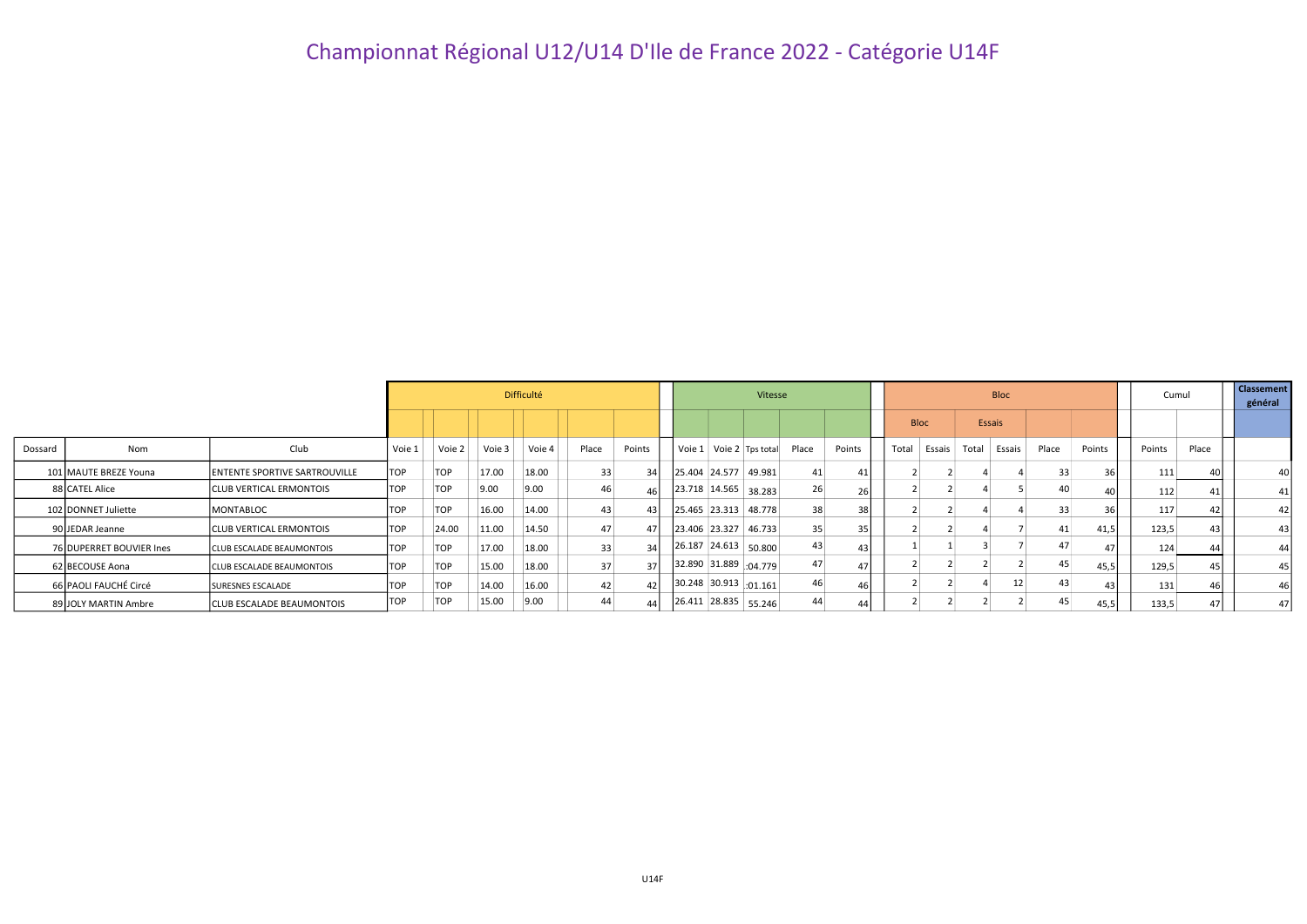## Championnat Régional U12/U14 D'Ile de France 2022 - Catégorie U14F

|         |                          |                                      |            |            |        | Difficulté |       |        | Vitesse |  |                                                      |    |                 |       |             | <b>Bloc</b>  | Cumul |        | <b>Classement</b><br>général |                 |                 |
|---------|--------------------------|--------------------------------------|------------|------------|--------|------------|-------|--------|---------|--|------------------------------------------------------|----|-----------------|-------|-------------|--------------|-------|--------|------------------------------|-----------------|-----------------|
|         |                          |                                      |            |            |        |            |       |        |         |  |                                                      |    |                 |       | <b>Bloc</b> | Essais       |       |        |                              |                 |                 |
| Dossard | Nom                      | Club                                 | Voie 1     | Voie 2     | Voie 3 | Voie 4     | Place | Points |         |  | Voie 1 Voie 2 Tps total Place                        |    | Points          | Total | Essais      | Total Essais | Place | Points | Points                       | Place           |                 |
|         | 101 MAUTE BREZE Youna    | <b>ENTENTE SPORTIVE SARTROUVILLE</b> | <b>TOP</b> | <b>TOP</b> | 17.00  | 18.00      | 33    | 34     |         |  | 25.404 24.577 49.981                                 | 41 | 41              |       |             |              | 33    | 36     | 111                          | 40              | 40 l            |
|         | 88 CATEL Alice           | <b>CLUB VERTICAL ERMONTOIS</b>       | <b>TOP</b> | <b>TOP</b> | 9.00   | 9.00       | 46    | 46     |         |  | $\left  23.718 \right  14.565 \left  38.283 \right $ | 26 | 26              |       |             |              | 40    | 40     | 112                          | 41              | 41              |
|         | 102 DONNET Juliette      | <b>IMONTABLOC</b>                    | <b>TOP</b> | <b>TOP</b> | 16.00  | 14.00      | 43    | 43     |         |  | 25.465 23.313 48.778                                 | 38 | 38              |       |             |              | 33    | 36     | 117                          | 42              | 42 <sub>1</sub> |
|         | 90 JEDAR Jeanne          | <b>ICLUB VERTICAL ERMONTOIS</b>      | <b>TOP</b> | 24.00      | 11.00  | 14.50      | 47    | 47     |         |  | 23.406 23.327 46.733                                 | 35 | 35 <sub>l</sub> |       |             |              | 41    | 41,5   | 123,5                        | 43 <sub>1</sub> | 43              |
|         | 76 DUPERRET BOUVIER Ines | <b>CLUB ESCALADE BEAUMONTOIS</b>     | <b>TOP</b> | <b>TOP</b> | 17.00  | 18.00      | 33    | 34     |         |  | $\left  26.187 \right  24.613 \left  50.800 \right $ | 43 | 43              |       |             |              |       | 47     | 124                          | 44              | 44              |
|         | 62 BECOUSE Aona          | <b>CLUB ESCALADE BEAUMONTOIS</b>     | <b>TOP</b> | <b>TOP</b> | 15.00  | 18.00      | 37    | 37     |         |  | $32.890$ 31.889 $.04.779$                            | 47 | 47              |       |             |              | 45    | 45,5   | 129,5                        | 45              | 45              |
|         | 66 PAOLI FAUCHÉ Circé    | <b>SURESNES ESCALADE</b>             | <b>TOP</b> | <b>TOP</b> | 14.00  | 16.00      | 42    | 42     |         |  | $30.248$ 30.913 :01.161                              | 46 | 46              |       |             |              | 43    | 43     | 131                          | 46              | 46              |
|         | 89 JOLY MARTIN Ambre     | <b>ICLUB ESCALADE BEAUMONTOIS</b>    | <b>TOP</b> | <b>TOP</b> | 15.00  | 9.00       | 44    |        |         |  | $26.411$ 28.835 55.246                               | 44 | 44              |       |             |              | 45    | 45,5   | 133,5                        | 47              | 47              |